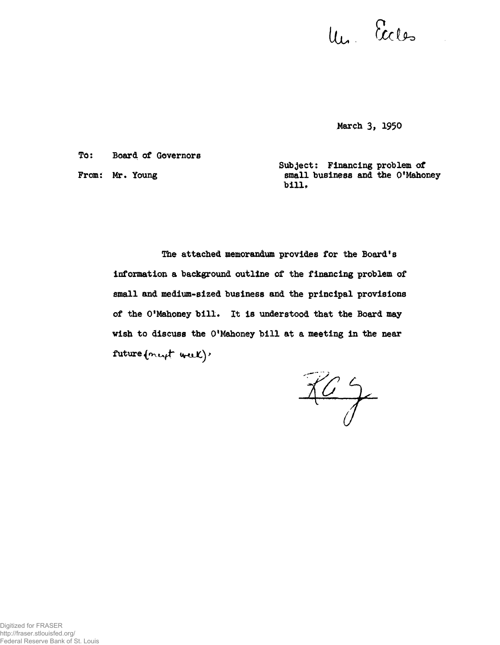Un Eccles

**Harch 3, 1950**

**TO: Board of Governors**

From: Mr. Young

**Subject: Financing problem of small business and the O'Mahoney bill,**

**The attached memorandum provides for the Board's information a background outline of the financing problem of small and medium-sized business and the principal provisions** of the O'Mahoney bill. It is understood that the Board may **wish to discuss the O'Mahoney bill at a meeting in the near** future (next week)'

 $\frac{764}{7}$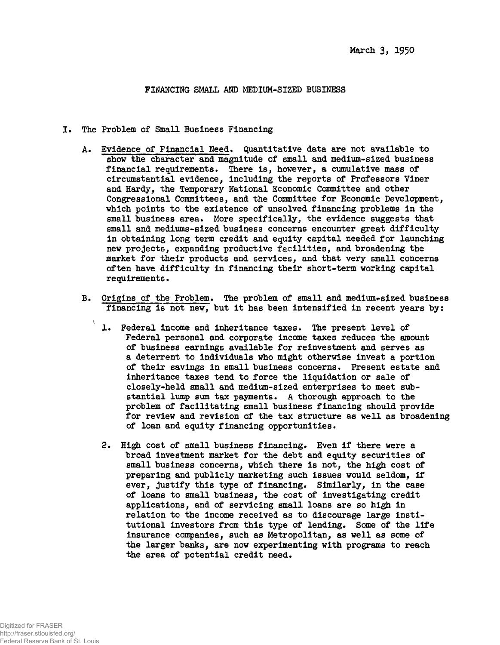## **FINANCING SMALL AND MEDIUM-SIZED BUSINESS**

- **I. The Problem of Small Business Financing**
	- **A. Evidence of Financial Need\* Quantitative data are not available to show the character and magnitude of small and medium-sized business financial requirements\* There is, however, a cumulative mass of circumstantial evidence, including the reports of Professors Viner and Hardy, the Temporary National Economic Committee and other Congressional Committees, and the Committee for Economic Development, which points to the existence of unsolved financing problems in the small business area. More specifically, the evidence suggests that small and mediums-sized business concerns encounter great difficulty in obtaining long term credit and equity capital needed for launching new projects, expanding productive facilities, and broadening the market for their products and services, and that very small concerns often have difficulty in financing their short-term working capital requirements.**
	- **B. Origins of the Problem. The problem of small and medium\*sized business financing is not new, but it has been intensified in recent years by:**
		- **1. Federal income and inheritance taxes. The present level of Federal personal and corporate income taxes reduces the amount of business earnings available for reinvestment and serves as a deterrent to individuals who might otherwise invest a portion of their savings in small business concerns. Present estate and inheritance taxes tend to force the liquidation or sale of closely^held small and medium-sized enterprises to meet substantial lump sum tax payments. A thorough approach to the problem of facilitating small business financing should provide for review and revision of the tax structure as well as broadening of loan and equity financing opportunities.**
		- **2. High cost of small business financing. Even if there were a broad investment market for the debt and equity securities of small business concerns, which there is not, the high cost of preparing and publicly marketing such issues would seldom, if** ever, justify this type of financing. Similarly, in the case **of loans to small business, the cost of investigating credit applications, and of servicing small loans are so high in relation to the income received as to discourage large institutional investors from this type of lending. Some of the life insurance companies, such as Metropolitan, as well as some of the larger banks, are now experimenting with programs to reach** the area of potential credit need.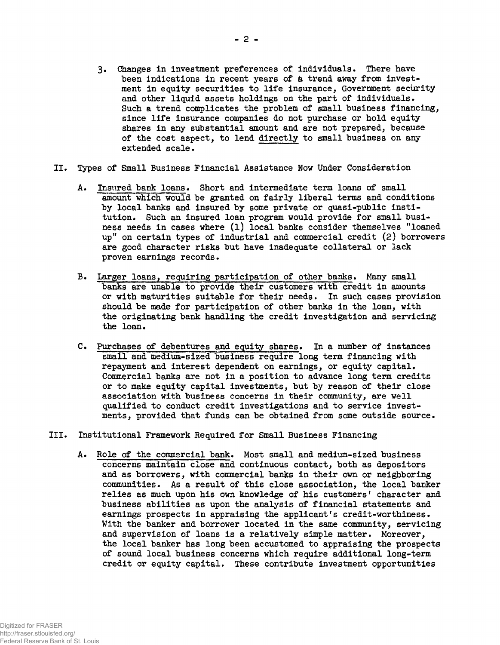- 3. Changes in investment preferences of individuals. There have been indications in recent years of a trend away from investment in equity securities to life insurance, Government security and other liquid assets holdings on the part of individuals. Such a trend complicates the problem of small business financing, since life insurance companies do not purchase or hold equity shares in any substantial amount and are not prepared, because of the cost aspect, to lend directly to small business on any extended scale.
- II. Types of Small Business Financial Assistance Now Under Consideration
	- A. Insured bank loans. Short and intermediate term loans of small amount which would be granted on fairly liberal terms and conditions by local banks and insured by some private or quasi-public institution. Such an insured loan program would provide for small business needs in cases where (l) local banks consider themselves "loaned up" on certain types of industrial and commercial credit (2) borrowers are good character risks but have inadequate collateral or lack proven earnings records.
	- B. Larger loans, requiring participation of other banks. Many small banks are unable to provide their customers with credit in amounts or with maturities suitable for their needs. In such cases provision should be made for participation of other banks in the loan, with the originating bank handling the credit investigation and servicing the loan.
	- C. Purchases of debentures and equity shares. In a number of instances small and medium-sized business require long term financing with repayment and interest dependent on earnings, or equity capital. Commercial banks are not in a position to advance long term credits or to make equity capital investments, but by reason of their close association with business concerns in their community, are well qualified to conduct credit investigations and to service investments, provided that funds can be obtained from some outside source.
- III. Institutional Framework Required for Small Business Financing
	- A. Role of the commercial bank. Most small and medium-sized business concerns maintain close and continuous contact, both as depositors and as borrowers, with commercial banks in their own or neighboring communities. As a result of this close association, the local banker relies as much upon his own knowledge of his customers' character and business abilities as upon the analysis of financial statements and earnings prospects in appraising the applicant's credit-worthiness. With the banker and borrower located in the same community, servicing and supervision of loans is a relatively simple matter. Moreover, the local banker has long been accustomed to appraising the prospects of sound local business concerns which require additional long-term credit or equity capital. These contribute investment opportunities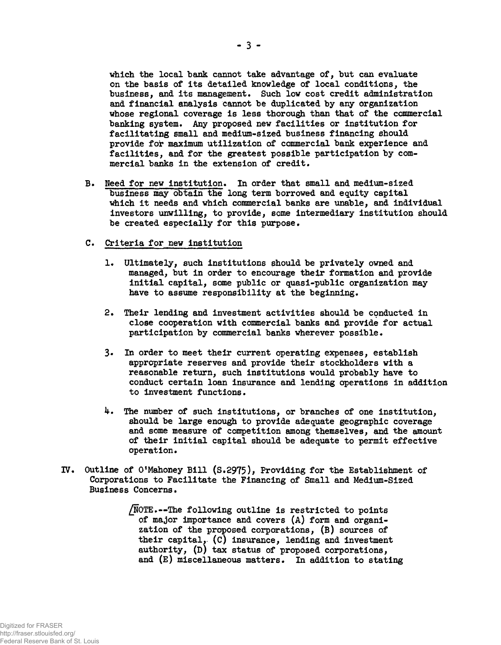**which the local bank cannot take advantage of, but can evaluate on the basis of its detailed knowledge of local conditions, the business, and its management. Such low cost credit administration and financial analysis cannot be duplicated by any organization whose regional coverage is less thorough than that of the commercial banking system. Any proposed new facilities or institution for facilitating small and medium-sized business financing should provide for maximum utilization of commercial bank experience and facilities, and for the greatest possible participation by commercial banks in the extension of credit.**

- **B. Meed for new institution\* In order that small and medium-sized business may obtain the long term borrowed and equity capital which it needs and which commercial banks are unable, and individual** investors unwilling, to provide, some intermediary institution should **be created especially for this purpose.**
- **C. Criteria for new institution**
	- **1. Ultimately, such institutions should be privately owned and managed, but in order to encourage their formation and provide initial capital, some public or quasi-public organization may have to assume responsibility at the beginning.**
	- **2. Their lending and investment activities should be conducted in close cooperation with commercial banks and provide for actual participation by commercial banks wherever possible.**
	- **3« In order to meet their current operating expenses, establish appropriate reserves and provide their stockholders with a reasonable return, such institutions would probably have to conduct certain loan insurance and lending operations in addition to investment functions.**
	- **k. The number of such institutions, or branches of one institution, should be large enough to provide adequate geographic coverage and some measure of competition among themselves, and the amount of their initial capital should be adequate to permit effective operation.**
- **IV. Outline of O<sup>f</sup>Mahoney Bill (S.2975), Providing for the Establishment of Corporations to Facilitate the Financing of Small and Medium-Sized Business Concerns.**

**/NOTE.—The following outline is restricted to points of major importance and covers (A) form and organization of the proposed corporations, (B) sources of their capital, (C) insurance, lending and investment authority, (D) tax status of proposed corporations, and (E) miscellaneous matters. In addition to stating**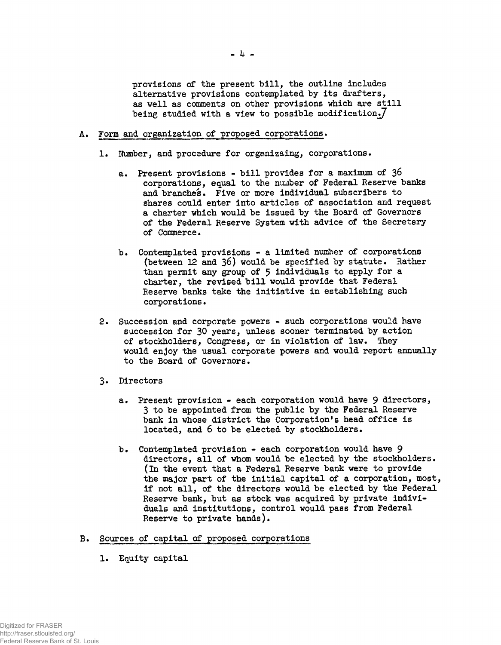provisions of the present bill, the outline includes alternative provisions contemplated by its drafters, as well as comments on other provisions which are still being studied with a view to possible modification. $7$ 

- A. Form and organization of proposed corporations.
	- 1. Number, and procedure for organizaing, corporations.
		- a. Present provisions bill provides for a maximum of 36 corporations, equal to the number of Federal Reserve banks and branches. Five or more individual subscribers to shares could enter into articles of association and request a charter which would be issued by the Board of Governors of the Federal Reserve System with advice of the Secretary of Commerce.
		- b. Contemplated provisions a limited number of corporations (between 12 and 36) would be specified by statute. Rather than permit any group of 5 individuals to apply for a charter, the revised bill would provide that Federal Reserve banks take the initiative in establishing such corporations.
	- 2. Succession and corporate powers such corporations would have succession for 30 years, unless sooner terminated by action of stockholders, Congress, or in violation of law. They would enjoy the usual corporate powers and would report annually to the Board of Governors.
	- 3» Directors
		- a. Present provision each corporation would have 9 directors, 3 to be appointed from the public by the Federal Reserve bank in whose district the Corporation's head office is located, and 6 to be elected by stockholders.
		- b. Contemplated provision each corporation would have 9 directors, all of whom would be elected by the stockholders, (in the event that a Federal Reserve bank were to provide the major part of the initial capital of a corporation, most, if not all, of the directors would be elected by the Federal Reserve bank, but as stock was acquired by private individuals and institutions, control would pass from Federal Reserve to private hands).
- B. Sources of capital of proposed corporations
	- 1. Equity capital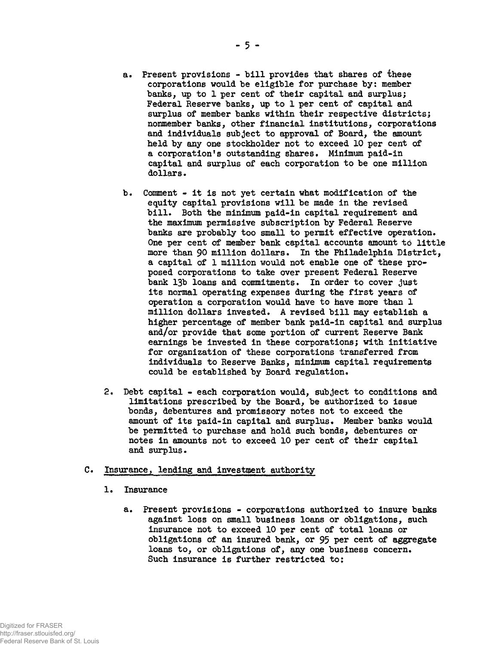- **a. Present provisions bill provides that shares of these corporations would be eligible for purchase by: member banks, up to 1 per cent of their capital and surplus; Federal Reserve banks, up to 1 per cent of capital and surplus of member banks within their respective districts; nonmember banks, other financial institutions, corporations and individuals subject to approval of Board, the amount held by any one stockholder not to exceed 10 per cent of** a corporation's outstanding shares. Minimum paid-in **capital and surplus of each corporation to be one million dollars.**
- **b. Comment it is not yet certain what modification of the equity capital provisions will be made in the revised bill. Both the minimum paid-in capital requirement and the maximum permissive subscription by Federal Reserve banks are probably too small to permit effective operation. One per cent of member bank capital accounts amount to little more than 90 million dollars. In the Philadelphia District, a capital of 1 million would not enable one of these proposed corporations to take over present Federal Reserve bank 13b loans and commitments. In order to cover just its normal operating expenses during the first years of operation a corporation would have to have more than 1 million dollars invested. A revised bill may establish a higher percentage of member bank paid-in capital and surplus and/or provide that some portion of current Reserve Bank earnings be invested in these corporations; with initiative for organization of these corporations transferred from individuals to Reserve Banks, minimum capital requirements** could be established by Board regulation.
- **2. Debt capital each corporation would, subject to conditions and limitations prescribed by the Board, be authorized to issue bonds, debentures and promissory notes not to exceed the** amount of its paid-in capital and surplus. Member banks would **be permitted to purchase and hold such bonds, debentures or notes in amounts not to exceed 10 per cent of their capital and surplus.**

## **C. Insurance, lending and investipent authority**

- **1. Insurance**
	- **a. Present provisions corporations authorised to insure banks against loss on small business loans or obligations, such insurance not to exceed 10 per cent of total loans or obligations of an insured bank, or 95 per cent of aggregate loans to, or obligations of, any one business concern. Such insurance is further restricted to;**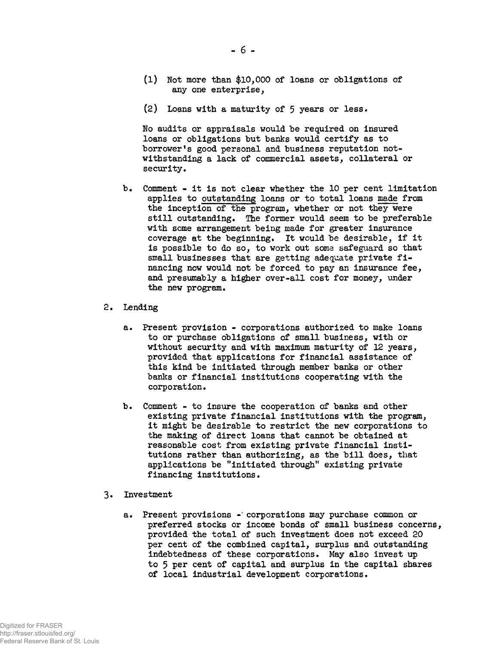- (1) Not more than \$10,000 of loans or obligations of any one enterprise,
- (2) Loans with a maturity of  $5$  years or less.

No audits or appraisals would be required on insured loans or obligations but banks would certify as to borrower's good personal and business reputation notwithstanding a lack of commercial assets, collateral or security.

- b. Comment it is not clear whether the 10 per cent limitation applies to outstanding loans or to total loans made from the inception of the program, whether or not they were still outstanding. The former would seem to be preferable with some arrangement being made for greater insurance coverage at the beginning. It would be desirable, if it is possible to do so, to work out some safeguard so that small businesses that are getting adequate private financing now would not be forced to pay an insurance fee, and presumably a higher over-all cost for money, under the new program.
- 2. Lending
	- a. Present provision corporations authorized to make loans to or purchase obligations of small business, with or without security and with maximum maturity of 12 years, provided that applications for financial assistance of this kind be initiated through member banks or other banks or financial institutions cooperating with the corporation.
	- b. Comment to insure the cooperation of banks and other existing private financial institutions with the program, it might be desirable to restrict the new corporations to the making of direct loans that cannot be obtained at reasonable cost from existing private financial institutions rather than authorizing, as the bill does, that applications be "initiated through" existing private financing institutions.
- 3« Investment
	- a. Present provisions -' corporations may purchase common or preferred stocks or income bonds of small business concerns, provided the total of such investment does not exceed 20 per cent of the combined capital, surplus and outstanding indebtedness of these corporations. May also invest up to 5 per cent of capital and surplus in the capital shares of local industrial development corporations.